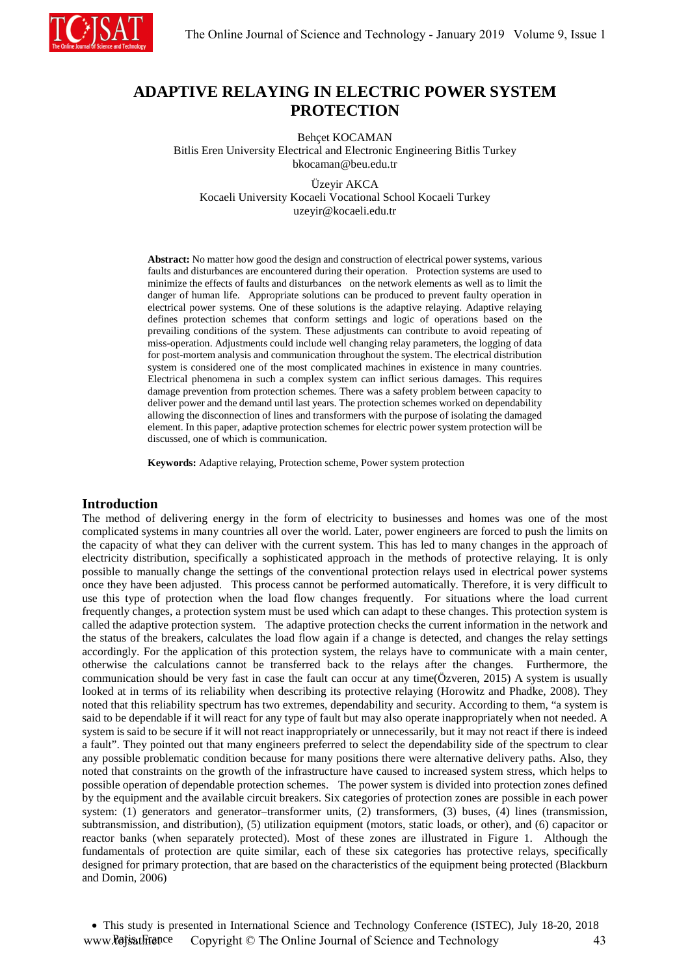

# **ADAPTIVE RELAYING IN ELECTRIC POWER SYSTEM PROTECTION**

Behçet KOCAMAN Bitlis Eren University Electrical and Electronic Engineering Bitlis Turkey bkocaman@beu.edu.tr

Üzeyir AKCA Kocaeli University Kocaeli Vocational School Kocaeli Turkey uzeyir@kocaeli.edu.tr

**Abstract:** No matter how good the design and construction of electrical power systems, various faults and [disturbances](http://tureng.com/tr/turkce-ingilizce/disturbance) are encountered during their operation. Protection systems are used to minimize the effects of faults an[d disturbances](http://tureng.com/tr/turkce-ingilizce/disturbance) on the network elements as well as to limit the danger of human life. Appropriate solutions can be produced to prevent faulty operation in electrical power systems. One of these solutions is the adaptive relaying. Adaptive relaying defines protection schemes that conform settings and logic of operations based on the prevailing conditions of the system. These adjustments can contribute to avoid repeating of miss-operation. Adjustments could include well changing relay parameters, the logging of data for post-mortem analysis and communication throughout the system. The electrical distribution system is considered one of the most complicated machines in existence in many countries. Electrical phenomena in such a complex system can inflict serious damages. This requires damage prevention from protection schemes. There was a safety problem between capacity to deliver power and the demand until last years. The protection schemes worked on dependability allowing the disconnection of lines and transformers with the purpose of isolating the damaged element. In this paper, adaptive protection schemes for electric power system protection will be discussed, one of which is communication.

**Keywords:** Adaptive relaying, Protection scheme, Power system protection

#### **Introduction**

The method of delivering energy in the form of electricity to businesses and homes was one of the most complicated systems in many countries all over the world. Later, power engineers are forced to push the limits on the capacity of what they can deliver with the current system. This has led to many changes in the approach of electricity distribution, specifically a sophisticated approach in the methods of protective relaying. It is only possible to manually change the settings of the conventional protection relays used in electrical power systems once they have been adjusted. This process cannot be performed automatically. Therefore, it is very difficult to use this type of protection when the load flow changes frequently. For situations where the load current frequently changes, a protection system must be used which can adapt to these changes. This protection system is called the adaptive protection system. The adaptive protection checks the current information in the network and the status of the breakers, calculates the load flow again if a change is detected, and changes the relay settings accordingly. For the application of this protection system, the relays have to communicate with a main center, otherwise the calculations cannot be transferred back to the relays after the changes. Furthermore, the communication should be very fast in case the fault can occur at any time(Özveren, 2015) A system is usually looked at in terms of its reliability when describing its protective relaying (Horowitz and Phadke, 2008). They noted that this reliability spectrum has two extremes, dependability and security. According to them, "a system is said to be dependable if it will react for any type of fault but may also operate inappropriately when not needed. A system is said to be secure if it will not react inappropriately or unnecessarily, but it may not react if there is indeed a fault". They pointed out that many engineers preferred to select the dependability side of the spectrum to clear any possible problematic condition because for many positions there were alternative delivery paths. Also, they noted that constraints on the growth of the infrastructure have caused to increased system stress, which helps to possible operation of dependable protection schemes. The power system is divided into protection zones defined by the equipment and the available circuit breakers. Six categories of protection zones are possible in each power system: (1) generators and generator–transformer units, (2) transformers, (3) buses, (4) lines (transmission, subtransmission, and distribution), (5) utilization equipment (motors, static loads, or other), and (6) capacitor or reactor banks (when separately protected). Most of these zones are illustrated in Figure 1. Although the fundamentals of protection are quite similar, each of these six categories has protective relays, specifically designed for primary protection, that are based on the characteristics of the equipment being protected (Blackburn and Domin, 2006)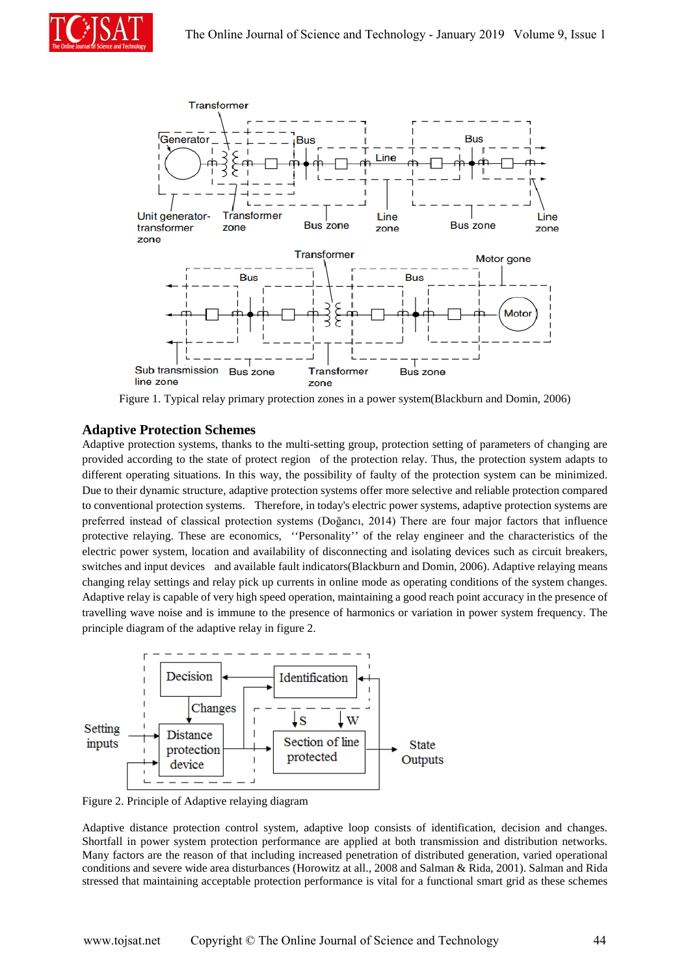



Figure 1. Typical relay primary protection zones in a power system(Blackburn and Domin, 2006)

## **Adaptive Protection Schemes**

Adaptive protection systems, thanks to the multi-setting group, protection setting of parameters of changing are provided according to the state of protect region of the protection relay. Thus, the protection system adapts to different operating situations. In this way, the possibility of faulty of the protection system can be minimized. Due to their dynamic structure, adaptive protection systems offer more selective and reliable protection compared to conventional protection systems. Therefore, in today's electric power systems, adaptive protection systems are preferred instead of classical protection systems (Doğancı, 2014) There are four major factors that influence protective relaying. These are economics, ''Personality'' of the relay engineer and the characteristics of the electric power system, location and availability of disconnecting and isolating devices such as circuit breakers, switches and input devices and available fault indicators(Blackburn and Domin, 2006). Adaptive relaying means changing relay settings and relay pick up currents in online mode as operating conditions of the system changes. Adaptive relay is capable of very high speed operation, maintaining a good reach point accuracy in the presence of travelling wave noise and is immune to the presence of harmonics or variation in power system frequency. The principle diagram of the adaptive relay in figure 2.



Figure 2. Principle of Adaptive relaying diagram

Adaptive distance protection control system, adaptive loop consists of identification, decision and changes. Shortfall in power system protection performance are applied at both transmission and distribution networks. Many factors are the reason of that including increased penetration of distributed generation, varied operational conditions and severe wide area disturbances (Horowitz at all., 2008 and Salman & Rida, 2001). Salman and Rida stressed that maintaining acceptable protection performance is vital for a functional smart grid as these schemes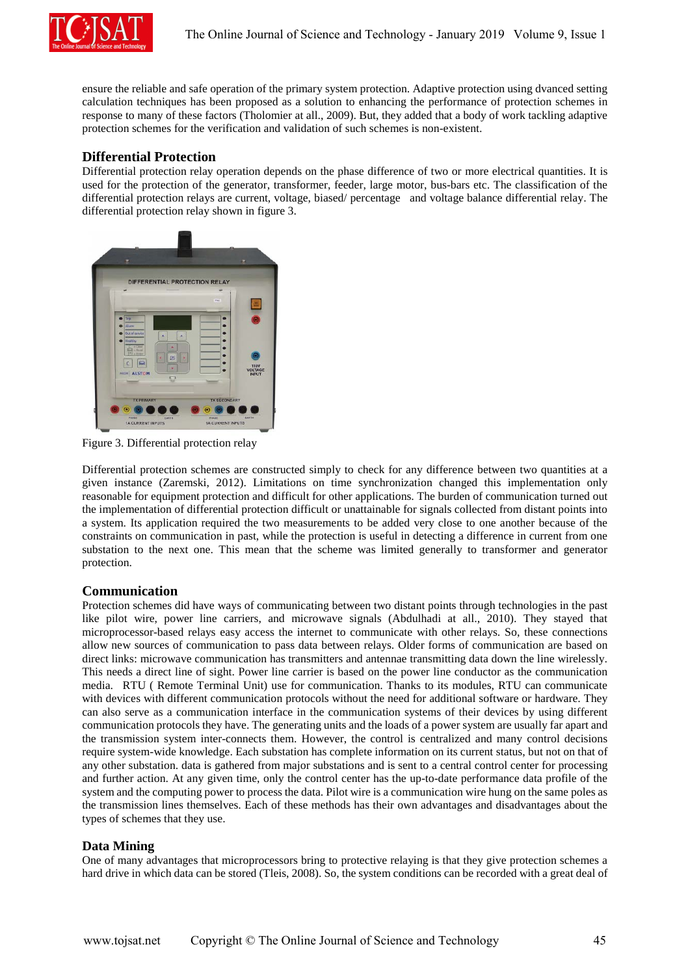

ensure the reliable and safe operation of the primary system protection. Adaptive protection using dvanced setting calculation techniques has been proposed as a solution to enhancing the performance of protection schemes in response to many of these factors (Tholomier at all., 2009). But, they added that a body of work tackling adaptive protection schemes for the verification and validation of such schemes is non-existent.

## **Differential Protection**

Differential protection relay operation depends on the phase difference of two or more electrical quantities. It is used for the protection of the generator, transformer, feeder, large motor, bus-bars etc. The classification of the differential protection relays are current, voltage, biased/ percentage and voltage balance differential relay. The differential protection relay shown in figure 3.



Figure 3. Differential protection relay

Differential protection schemes are constructed simply to check for any difference between two quantities at a given instance (Zaremski, 2012). Limitations on time synchronization changed this implementation only reasonable for equipment protection and difficult for other applications. The burden of communication turned out the implementation of differential protection difficult or unattainable for signals collected from distant points into a system. Its application required the two measurements to be added very close to one another because of the constraints on communication in past, while the protection is useful in detecting a difference in current from one substation to the next one. This mean that the scheme was limited generally to transformer and generator protection.

#### **Communication**

Protection schemes did have ways of communicating between two distant points through technologies in the past like pilot wire, power line carriers, and microwave signals (Abdulhadi at all., 2010). They stayed that microprocessor-based relays easy access the internet to communicate with other relays. So, these connections allow new sources of communication to pass data between relays. Older forms of communication are based on direct links: microwave communication has transmitters and antennae transmitting data down the line wirelessly. This needs a direct line of sight. Power line carrier is based on the power line conductor as the communication media. RTU ( Remote Terminal Unit) use for communication. Thanks to its modules, RTU can communicate with devices with different communication protocols without the need for additional software or hardware. They can also serve as a communication interface in the communication systems of their devices by using different communication protocols they have. The generating units and the loads of a power system are usually far apart and the transmission system inter-connects them. However, the control is centralized and many control decisions require system-wide knowledge. Each substation has complete information on its current status, but not on that of any other substation. data is gathered from major substations and is sent to a central control center for processing and further action. At any given time, only the control center has the up-to-date performance data profile of the system and the computing power to process the data. Pilot wire is a communication wire hung on the same poles as the transmission lines themselves. Each of these methods has their own advantages and disadvantages about the types of schemes that they use.

# **Data Mining**

One of many advantages that microprocessors bring to protective relaying is that they give protection schemes a hard drive in which data can be stored (Tleis, 2008). So, the system conditions can be recorded with a great deal of